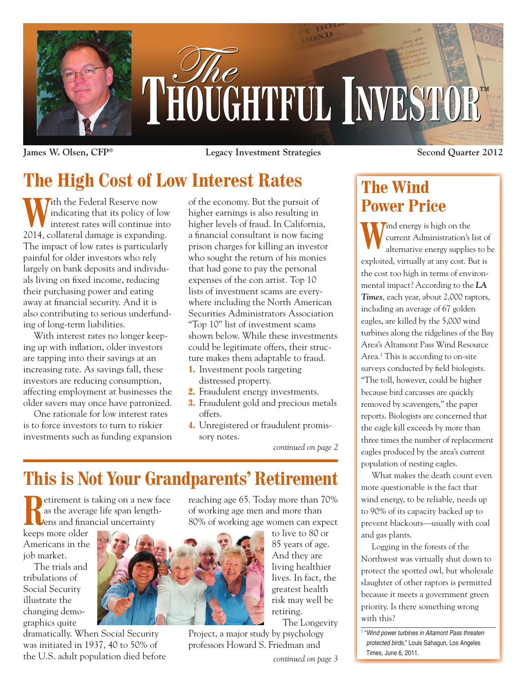

**James W. Olsen, CFP® Legacy Investment Strategies Second Quarter 2012**

# **The High Cost of Low Interest Rates**

With the Federal Reserve now<br>indicating that its policy of lo<br>interest rates will continue in indicating that its policy of low interest rates will continue into 2014, collateral damage is expanding. The impact of low rates is particularly painful for older investors who rely largely on bank deposits and individuals living on fixed income, reducing their purchasing power and eating away at financial security. And it is also contributing to serious underfunding of long-term liabilities.

With interest rates no longer keeping up with inflation, older investors are tapping into their savings at an increasing rate. As savings fall, these investors are reducing consumption, affecting employment at businesses the older savers may once have patronized.

One rationale for low interest rates is to force investors to turn to riskier investments such as funding expansion of the economy. But the pursuit of higher earnings is also resulting in higher levels of fraud. In California, a financial consultant is now facing prison charges for killing an investor who sought the return of his monies that had gone to pay the personal expenses of the con artist. Top 10 lists of investment scams are everywhere including the North American Securities Administrators Association "Top 10" list of investment scams shown below. While these investments could be legitimate offers, their structure makes them adaptable to fraud.

- **1.** Investment pools targeting distressed property.
- **2.** Fraudulent energy investments.
- **3.** Fraudulent gold and precious metals offers.
- **4.** Unregistered or fraudulent promissory notes.

*continued on page 2*

# **This is Not Your Grandparents' Retirement**

**Retirement is taking on a new face**<br>as the average life span length-<br>lens and financial uncertainty as the average life span length-

keeps more older Americans in the job market.

The trials and tribulations of Social Security illustrate the changing demographics quite

dramatically. When Social Security was initiated in 1937, 40 to 50% of the U.S. adult population died before reaching age 65. Today more than 70% of working age men and more than 80% of working age women can expect



to live to 80 or 85 years of age. And they are living healthier lives. In fact, the greatest health risk may well be retiring. The Longevity

Project, a major study by psychology professors Howard S. Friedman and

*continued on page 3*

## **The Wind Power Price**

**W**ind energy is high on the current Administration's laternative energy supplie current Administration's list of alternative energy supplies to be exploited, virtually at any cost. But is the cost too high in terms of environmental impact? According to the *LA Times*, each year, about 2,000 raptors, including an average of 67 golden eagles, are killed by the 5,000 wind turbines along the ridgelines of the Bay Area's Altamont Pass Wind Resource Area.<sup>1</sup> This is according to on-site surveys conducted by field biologists. "The toll, however, could be higher because bird carcasses are quickly removed by scavengers," the paper reports. Biologists are concerned that the eagle kill exceeds by more than three times the number of replacement

population of nesting eagles. What makes the death count even more questionable is the fact that wind energy, to be reliable, needs up to 90% of its capacity backed up to prevent blackouts—usually with coal and gas plants.

eagles produced by the area's current

Logging in the forests of the Northwest was virtually shut down to protect the spotted owl, but wholesale slaughter of other raptors is permitted because it meets a government green priority. Is there something wrong with this?

<sup>1</sup> "Wind power turbines in Altamont Pass threaten protected birds," Louis Sahagun, Los Angeles Times, June 6, 2011.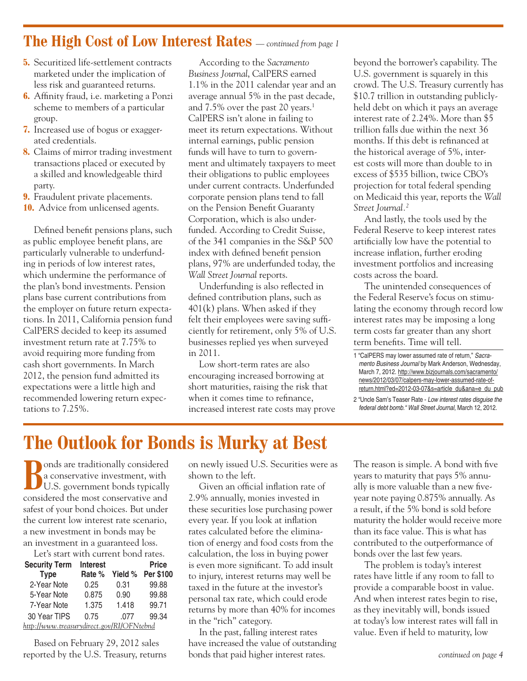#### **The High Cost of Low Interest Rates** *— continued from page 1*

- **5.** Securitized life-settlement contracts marketed under the implication of less risk and guaranteed returns.
- **6.** Affinity fraud, i.e. marketing a Ponzi scheme to members of a particular group.
- **7.** Increased use of bogus or exaggerated credentials.
- **8.** Claims of mirror trading investment transactions placed or executed by a skilled and knowledgeable third party.
- **9.** Fraudulent private placements.
- **10.** Advice from unlicensed agents.

Defined benefit pensions plans, such as public employee benefit plans, are particularly vulnerable to underfunding in periods of low interest rates, which undermine the performance of the plan's bond investments. Pension plans base current contributions from the employer on future return expectations. In 2011, California pension fund CalPERS decided to keep its assumed investment return rate at 7.75% to avoid requiring more funding from cash short governments. In March 2012, the pension fund admitted its expectations were a little high and recommended lowering return expectations to 7.25%.

According to the *Sacramento Business Journal*, CalPERS earned 1.1% in the 2011 calendar year and an average annual 5% in the past decade, and 7.5% over the past 20 years.<sup>1</sup> CalPERS isn't alone in failing to meet its return expectations. Without internal earnings, public pension funds will have to turn to government and ultimately taxpayers to meet their obligations to public employees under current contracts. Underfunded corporate pension plans tend to fall on the Pension Benefit Guaranty Corporation, which is also underfunded. According to Credit Suisse, of the 341 companies in the S&P 500 index with defined benefit pension plans, 97% are underfunded today, the *Wall Street Journal* reports.

Underfunding is also reflected in defined contribution plans, such as 401(k) plans. When asked if they felt their employees were saving sufficiently for retirement, only 5% of U.S. businesses replied yes when surveyed in 2011.

Low short-term rates are also encouraging increased borrowing at short maturities, raising the risk that when it comes time to refinance, increased interest rate costs may prove beyond the borrower's capability. The U.S. government is squarely in this crowd. The U.S. Treasury currently has \$10.7 trillion in outstanding publiclyheld debt on which it pays an average interest rate of 2.24%. More than \$5 trillion falls due within the next 36 months. If this debt is refinanced at the historical average of 5%, interest costs will more than double to in excess of \$535 billion, twice CBO's projection for total federal spending on Medicaid this year, reports the *Wall Street Journal.2*

And lastly, the tools used by the Federal Reserve to keep interest rates artificially low have the potential to increase inflation, further eroding investment portfolios and increasing costs across the board.

The unintended consequences of the Federal Reserve's focus on stimulating the economy through record low interest rates may be imposing a long term costs far greater than any short term benefits. Time will tell.

1 "CalPERS may lower assumed rate of return," Sacramento Business Journal by Mark Anderson, Wednesday, March 7, 2012. http://www.bizjournals.com/sacramento/ news/2012/03/07/calpers-may-lower-assumed-rate-ofreturn.html?ed=2012-03-07&s=article\_du&ana=e\_du\_pub

2 "Uncle Sam's Teaser Rate - Low interest rates disguise the federal debt bomb." Wall Street Journal, March 12, 2012.

## **The Outlook for Bonds is Murky at Best**

**Bonds** are traditionally considered<br>a conservative investment, with<br>U.S. government bonds typically a conservative investment, with U.S. government bonds typically considered the most conservative and safest of your bond choices. But under the current low interest rate scenario, a new investment in bonds may be an investment in a guaranteed loss.

| Let's start with current bond rates.      |          |       |                   |  |  |  |
|-------------------------------------------|----------|-------|-------------------|--|--|--|
| <b>Security Term</b>                      | Interest |       | <b>Price</b>      |  |  |  |
| <b>Type</b>                               | Rate %   |       | Yield % Per \$100 |  |  |  |
| 2-Year Note                               | 0.25     | 0.31  | 99.88             |  |  |  |
| 5-Year Note                               | 0.875    | 0.90  | 99.88             |  |  |  |
| 7-Year Note                               | 1.375    | 1.418 | 99.71             |  |  |  |
| 30 Year TIPS                              | 0.75     | .077  | 99.34             |  |  |  |
| http://www.treasurydirect.gov/RI/OFNtebnd |          |       |                   |  |  |  |

Based on February 29, 2012 sales reported by the U.S. Treasury, returns on newly issued U.S. Securities were as shown to the left.

Given an official inflation rate of 2.9% annually, monies invested in these securities lose purchasing power every year. If you look at inflation rates calculated before the elimination of energy and food costs from the calculation, the loss in buying power is even more significant. To add insult to injury, interest returns may well be taxed in the future at the investor's personal tax rate, which could erode returns by more than 40% for incomes in the "rich" category.

In the past, falling interest rates have increased the value of outstanding bonds that paid higher interest rates.

The reason is simple. A bond with five years to maturity that pays 5% annually is more valuable than a new fiveyear note paying 0.875% annually. As a result, if the 5% bond is sold before maturity the holder would receive more than its face value. This is what has contributed to the outperformance of bonds over the last few years.

The problem is today's interest rates have little if any room to fall to provide a comparable boost in value. And when interest rates begin to rise, as they inevitably will, bonds issued at today's low interest rates will fall in value. Even if held to maturity, low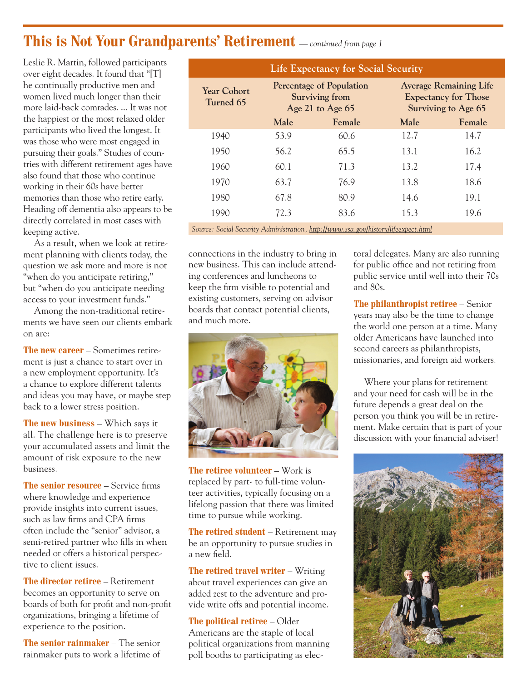### **This is Not Your Grandparents' Retirement** *— continued from page 1*

Leslie R. Martin, followed participants over eight decades. It found that "[T] he continually productive men and women lived much longer than their more laid-back comrades. ... It was not the happiest or the most relaxed older participants who lived the longest. It was those who were most engaged in pursuing their goals." Studies of countries with different retirement ages have also found that those who continue working in their 60s have better memories than those who retire early. Heading off dementia also appears to be directly correlated in most cases with keeping active.

As a result, when we look at retirement planning with clients today, the question we ask more and more is not "when do you anticipate retiring," but "when do you anticipate needing access to your investment funds."

Among the non-traditional retirements we have seen our clients embark on are:

**The new career** – Sometimes retirement is just a chance to start over in a new employment opportunity. It's a chance to explore different talents and ideas you may have, or maybe step back to a lower stress position.

**The new business** – Which says it all. The challenge here is to preserve your accumulated assets and limit the amount of risk exposure to the new business.

**The senior resource** – Service firms where knowledge and experience provide insights into current issues, such as law firms and CPA firms often include the "senior" advisor, a semi-retired partner who fills in when needed or offers a historical perspective to client issues.

**The director retiree** – Retirement becomes an opportunity to serve on boards of both for profit and non-profit organizations, bringing a lifetime of experience to the position.

**The senior rainmaker** – The senior rainmaker puts to work a lifetime of

| Life Expectancy for Social Security                                                |                                                                              |        |                                                                                     |        |  |  |
|------------------------------------------------------------------------------------|------------------------------------------------------------------------------|--------|-------------------------------------------------------------------------------------|--------|--|--|
| <b>Year Cohort</b><br>Turned 65                                                    | <b>Percentage of Population</b><br><b>Surviving from</b><br>Age 21 to Age 65 |        | <b>Average Remaining Life</b><br><b>Expectancy for Those</b><br>Surviving to Age 65 |        |  |  |
|                                                                                    | Male                                                                         | Female | Male                                                                                | Female |  |  |
| 1940                                                                               | 53.9                                                                         | 60.6   | 12.7                                                                                | 14.7   |  |  |
| 1950                                                                               | 56.2                                                                         | 65.5   | 13.1                                                                                | 16.2   |  |  |
| 1960                                                                               | 60.1                                                                         | 71.3   | 13.2                                                                                | 17.4   |  |  |
| 1970                                                                               | 63.7                                                                         | 76.9   | 13.8                                                                                | 18.6   |  |  |
| 1980                                                                               | 67.8                                                                         | 80.9   | 14.6                                                                                | 19.1   |  |  |
| 1990                                                                               | 72.3                                                                         | 83.6   | 15.3                                                                                | 19.6   |  |  |
| Source: Social Security Administration, http://www.ssa.gov/history/lifeexpect.html |                                                                              |        |                                                                                     |        |  |  |

connections in the industry to bring in new business. This can include attending conferences and luncheons to keep the firm visible to potential and existing customers, serving on advisor boards that contact potential clients, and much more.



**The retiree volunteer** – Work is replaced by part- to full-time volunteer activities, typically focusing on a lifelong passion that there was limited time to pursue while working.

**The retired student** – Retirement may be an opportunity to pursue studies in a new field.

**The retired travel writer** – Writing about travel experiences can give an added zest to the adventure and provide write offs and potential income.

**The political retiree** – Older Americans are the staple of local political organizations from manning poll booths to participating as electoral delegates. Many are also running for public office and not retiring from public service until well into their 70s and 80s.

**The philanthropist retiree** – Senior years may also be the time to change the world one person at a time. Many older Americans have launched into second careers as philanthropists, missionaries, and foreign aid workers.

Where your plans for retirement and your need for cash will be in the future depends a great deal on the person you think you will be in retirement. Make certain that is part of your discussion with your financial adviser!